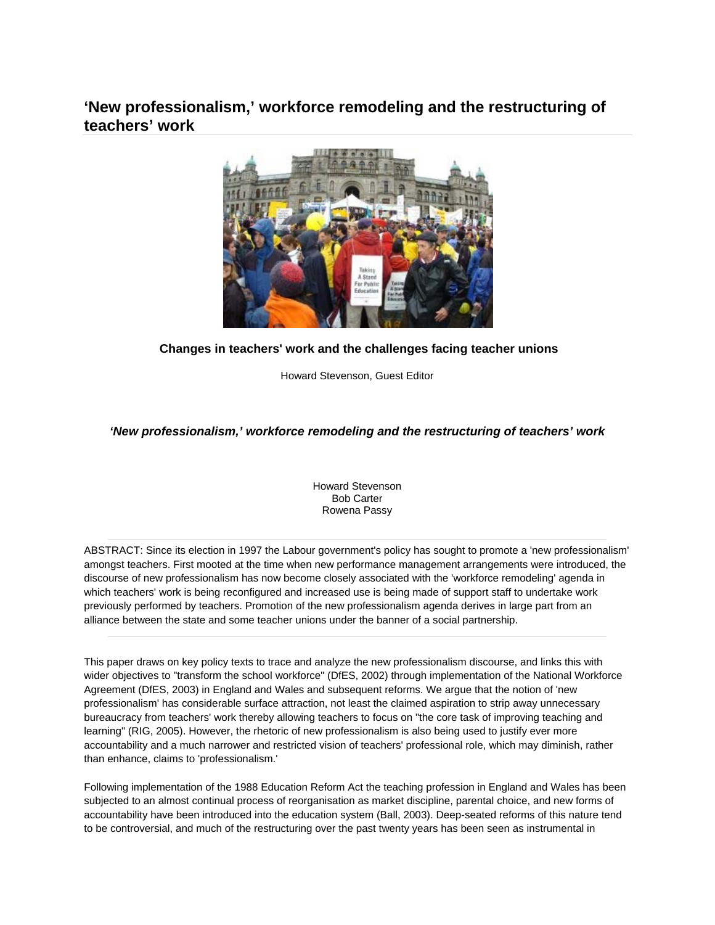# **'New professionalism,' workforce remodeling and the restructuring of teachers' work**



# **Changes in teachers' work and the challenges facing teacher unions**

Howard Stevenson, Guest Editor

# *'New professionalism,' workforce remodeling and the restructuring of teachers' work*

Howard Stevenson Bob Carter Rowena Passy

ABSTRACT: Since its election in 1997 the Labour government's policy has sought to promote a 'new professionalism' amongst teachers. First mooted at the time when new performance management arrangements were introduced, the discourse of new professionalism has now become closely associated with the 'workforce remodeling' agenda in which teachers' work is being reconfigured and increased use is being made of support staff to undertake work previously performed by teachers. Promotion of the new professionalism agenda derives in large part from an alliance between the state and some teacher unions under the banner of a social partnership.

This paper draws on key policy texts to trace and analyze the new professionalism discourse, and links this with wider objectives to "transform the school workforce" (DfES, 2002) through implementation of the National Workforce Agreement (DfES, 2003) in England and Wales and subsequent reforms. We argue that the notion of 'new professionalism' has considerable surface attraction, not least the claimed aspiration to strip away unnecessary bureaucracy from teachers' work thereby allowing teachers to focus on "the core task of improving teaching and learning" (RIG, 2005). However, the rhetoric of new professionalism is also being used to justify ever more accountability and a much narrower and restricted vision of teachers' professional role, which may diminish, rather than enhance, claims to 'professionalism.'

Following implementation of the 1988 Education Reform Act the teaching profession in England and Wales has been subjected to an almost continual process of reorganisation as market discipline, parental choice, and new forms of accountability have been introduced into the education system (Ball, 2003). Deep-seated reforms of this nature tend to be controversial, and much of the restructuring over the past twenty years has been seen as instrumental in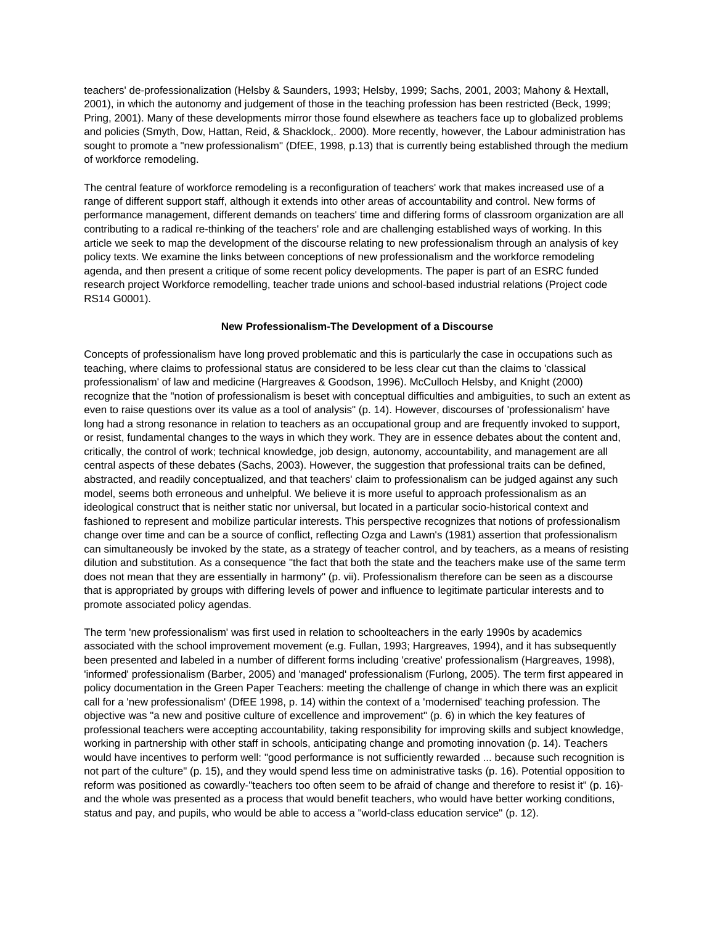teachers' de-professionalization (Helsby & Saunders, 1993; Helsby, 1999; Sachs, 2001, 2003; Mahony & Hextall, 2001), in which the autonomy and judgement of those in the teaching profession has been restricted (Beck, 1999; Pring, 2001). Many of these developments mirror those found elsewhere as teachers face up to globalized problems and policies (Smyth, Dow, Hattan, Reid, & Shacklock,. 2000). More recently, however, the Labour administration has sought to promote a "new professionalism" (DfEE, 1998, p.13) that is currently being established through the medium of workforce remodeling.

The central feature of workforce remodeling is a reconfiguration of teachers' work that makes increased use of a range of different support staff, although it extends into other areas of accountability and control. New forms of performance management, different demands on teachers' time and differing forms of classroom organization are all contributing to a radical re-thinking of the teachers' role and are challenging established ways of working. In this article we seek to map the development of the discourse relating to new professionalism through an analysis of key policy texts. We examine the links between conceptions of new professionalism and the workforce remodeling agenda, and then present a critique of some recent policy developments. The paper is part of an ESRC funded research project Workforce remodelling, teacher trade unions and school-based industrial relations (Project code RS14 G0001).

#### **New Professionalism-The Development of a Discourse**

Concepts of professionalism have long proved problematic and this is particularly the case in occupations such as teaching, where claims to professional status are considered to be less clear cut than the claims to 'classical professionalism' of law and medicine (Hargreaves & Goodson, 1996). McCulloch Helsby, and Knight (2000) recognize that the "notion of professionalism is beset with conceptual difficulties and ambiguities, to such an extent as even to raise questions over its value as a tool of analysis" (p. 14). However, discourses of 'professionalism' have long had a strong resonance in relation to teachers as an occupational group and are frequently invoked to support, or resist, fundamental changes to the ways in which they work. They are in essence debates about the content and, critically, the control of work; technical knowledge, job design, autonomy, accountability, and management are all central aspects of these debates (Sachs, 2003). However, the suggestion that professional traits can be defined, abstracted, and readily conceptualized, and that teachers' claim to professionalism can be judged against any such model, seems both erroneous and unhelpful. We believe it is more useful to approach professionalism as an ideological construct that is neither static nor universal, but located in a particular socio-historical context and fashioned to represent and mobilize particular interests. This perspective recognizes that notions of professionalism change over time and can be a source of conflict, reflecting Ozga and Lawn's (1981) assertion that professionalism can simultaneously be invoked by the state, as a strategy of teacher control, and by teachers, as a means of resisting dilution and substitution. As a consequence "the fact that both the state and the teachers make use of the same term does not mean that they are essentially in harmony" (p. vii). Professionalism therefore can be seen as a discourse that is appropriated by groups with differing levels of power and influence to legitimate particular interests and to promote associated policy agendas.

The term 'new professionalism' was first used in relation to schoolteachers in the early 1990s by academics associated with the school improvement movement (e.g. Fullan, 1993; Hargreaves, 1994), and it has subsequently been presented and labeled in a number of different forms including 'creative' professionalism (Hargreaves, 1998), 'informed' professionalism (Barber, 2005) and 'managed' professionalism (Furlong, 2005). The term first appeared in policy documentation in the Green Paper Teachers: meeting the challenge of change in which there was an explicit call for a 'new professionalism' (DfEE 1998, p. 14) within the context of a 'modernised' teaching profession. The objective was "a new and positive culture of excellence and improvement" (p. 6) in which the key features of professional teachers were accepting accountability, taking responsibility for improving skills and subject knowledge, working in partnership with other staff in schools, anticipating change and promoting innovation (p. 14). Teachers would have incentives to perform well: "good performance is not sufficiently rewarded ... because such recognition is not part of the culture" (p. 15), and they would spend less time on administrative tasks (p. 16). Potential opposition to reform was positioned as cowardly-"teachers too often seem to be afraid of change and therefore to resist it" (p. 16) and the whole was presented as a process that would benefit teachers, who would have better working conditions, status and pay, and pupils, who would be able to access a "world-class education service" (p. 12).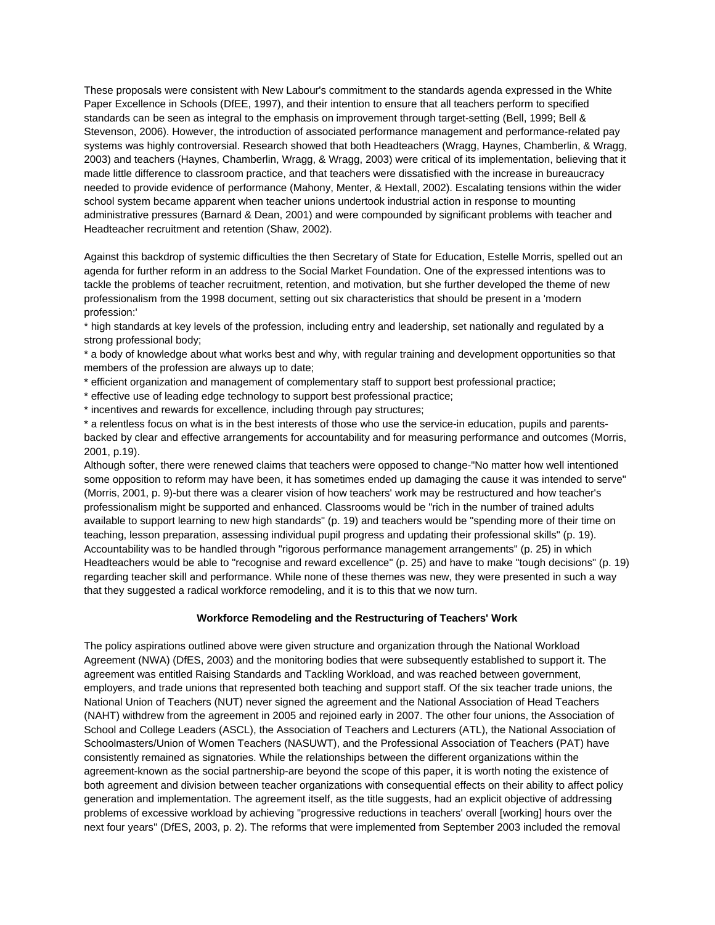These proposals were consistent with New Labour's commitment to the standards agenda expressed in the White Paper Excellence in Schools (DfEE, 1997), and their intention to ensure that all teachers perform to specified standards can be seen as integral to the emphasis on improvement through target-setting (Bell, 1999; Bell & Stevenson, 2006). However, the introduction of associated performance management and performance-related pay systems was highly controversial. Research showed that both Headteachers (Wragg, Haynes, Chamberlin, & Wragg, 2003) and teachers (Haynes, Chamberlin, Wragg, & Wragg, 2003) were critical of its implementation, believing that it made little difference to classroom practice, and that teachers were dissatisfied with the increase in bureaucracy needed to provide evidence of performance (Mahony, Menter, & Hextall, 2002). Escalating tensions within the wider school system became apparent when teacher unions undertook industrial action in response to mounting administrative pressures (Barnard & Dean, 2001) and were compounded by significant problems with teacher and Headteacher recruitment and retention (Shaw, 2002).

Against this backdrop of systemic difficulties the then Secretary of State for Education, Estelle Morris, spelled out an agenda for further reform in an address to the Social Market Foundation. One of the expressed intentions was to tackle the problems of teacher recruitment, retention, and motivation, but she further developed the theme of new professionalism from the 1998 document, setting out six characteristics that should be present in a 'modern profession:'

\* high standards at key levels of the profession, including entry and leadership, set nationally and regulated by a strong professional body;

\* a body of knowledge about what works best and why, with regular training and development opportunities so that members of the profession are always up to date;

- \* efficient organization and management of complementary staff to support best professional practice;
- \* effective use of leading edge technology to support best professional practice;
- \* incentives and rewards for excellence, including through pay structures;

\* a relentless focus on what is in the best interests of those who use the service-in education, pupils and parentsbacked by clear and effective arrangements for accountability and for measuring performance and outcomes (Morris, 2001, p.19).

Although softer, there were renewed claims that teachers were opposed to change-"No matter how well intentioned some opposition to reform may have been, it has sometimes ended up damaging the cause it was intended to serve" (Morris, 2001, p. 9)-but there was a clearer vision of how teachers' work may be restructured and how teacher's professionalism might be supported and enhanced. Classrooms would be "rich in the number of trained adults available to support learning to new high standards" (p. 19) and teachers would be "spending more of their time on teaching, lesson preparation, assessing individual pupil progress and updating their professional skills" (p. 19). Accountability was to be handled through "rigorous performance management arrangements" (p. 25) in which Headteachers would be able to "recognise and reward excellence" (p. 25) and have to make "tough decisions" (p. 19) regarding teacher skill and performance. While none of these themes was new, they were presented in such a way that they suggested a radical workforce remodeling, and it is to this that we now turn.

#### **Workforce Remodeling and the Restructuring of Teachers' Work**

The policy aspirations outlined above were given structure and organization through the National Workload Agreement (NWA) (DfES, 2003) and the monitoring bodies that were subsequently established to support it. The agreement was entitled Raising Standards and Tackling Workload, and was reached between government, employers, and trade unions that represented both teaching and support staff. Of the six teacher trade unions, the National Union of Teachers (NUT) never signed the agreement and the National Association of Head Teachers (NAHT) withdrew from the agreement in 2005 and rejoined early in 2007. The other four unions, the Association of School and College Leaders (ASCL), the Association of Teachers and Lecturers (ATL), the National Association of Schoolmasters/Union of Women Teachers (NASUWT), and the Professional Association of Teachers (PAT) have consistently remained as signatories. While the relationships between the different organizations within the agreement-known as the social partnership-are beyond the scope of this paper, it is worth noting the existence of both agreement and division between teacher organizations with consequential effects on their ability to affect policy generation and implementation. The agreement itself, as the title suggests, had an explicit objective of addressing problems of excessive workload by achieving "progressive reductions in teachers' overall [working] hours over the next four years" (DfES, 2003, p. 2). The reforms that were implemented from September 2003 included the removal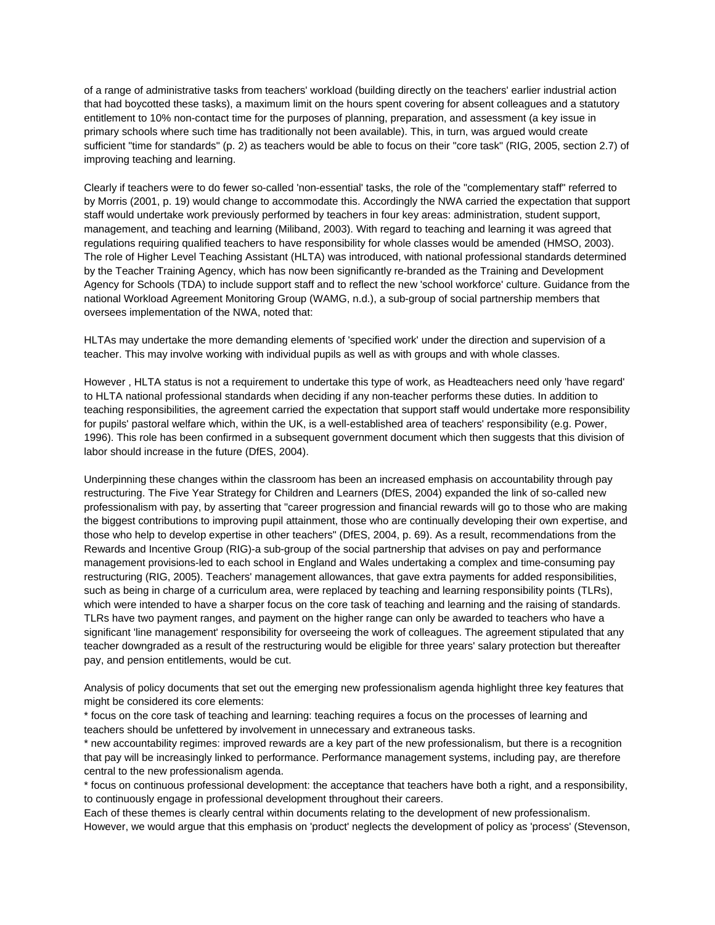of a range of administrative tasks from teachers' workload (building directly on the teachers' earlier industrial action that had boycotted these tasks), a maximum limit on the hours spent covering for absent colleagues and a statutory entitlement to 10% non-contact time for the purposes of planning, preparation, and assessment (a key issue in primary schools where such time has traditionally not been available). This, in turn, was argued would create sufficient "time for standards" (p. 2) as teachers would be able to focus on their "core task" (RIG, 2005, section 2.7) of improving teaching and learning.

Clearly if teachers were to do fewer so-called 'non-essential' tasks, the role of the "complementary staff" referred to by Morris (2001, p. 19) would change to accommodate this. Accordingly the NWA carried the expectation that support staff would undertake work previously performed by teachers in four key areas: administration, student support, management, and teaching and learning (Miliband, 2003). With regard to teaching and learning it was agreed that regulations requiring qualified teachers to have responsibility for whole classes would be amended (HMSO, 2003). The role of Higher Level Teaching Assistant (HLTA) was introduced, with national professional standards determined by the Teacher Training Agency, which has now been significantly re-branded as the Training and Development Agency for Schools (TDA) to include support staff and to reflect the new 'school workforce' culture. Guidance from the national Workload Agreement Monitoring Group (WAMG, n.d.), a sub-group of social partnership members that oversees implementation of the NWA, noted that:

HLTAs may undertake the more demanding elements of 'specified work' under the direction and supervision of a teacher. This may involve working with individual pupils as well as with groups and with whole classes.

However , HLTA status is not a requirement to undertake this type of work, as Headteachers need only 'have regard' to HLTA national professional standards when deciding if any non-teacher performs these duties. In addition to teaching responsibilities, the agreement carried the expectation that support staff would undertake more responsibility for pupils' pastoral welfare which, within the UK, is a well-established area of teachers' responsibility (e.g. Power, 1996). This role has been confirmed in a subsequent government document which then suggests that this division of labor should increase in the future (DfES, 2004).

Underpinning these changes within the classroom has been an increased emphasis on accountability through pay restructuring. The Five Year Strategy for Children and Learners (DfES, 2004) expanded the link of so-called new professionalism with pay, by asserting that "career progression and financial rewards will go to those who are making the biggest contributions to improving pupil attainment, those who are continually developing their own expertise, and those who help to develop expertise in other teachers" (DfES, 2004, p. 69). As a result, recommendations from the Rewards and Incentive Group (RIG)-a sub-group of the social partnership that advises on pay and performance management provisions-led to each school in England and Wales undertaking a complex and time-consuming pay restructuring (RIG, 2005). Teachers' management allowances, that gave extra payments for added responsibilities, such as being in charge of a curriculum area, were replaced by teaching and learning responsibility points (TLRs), which were intended to have a sharper focus on the core task of teaching and learning and the raising of standards. TLRs have two payment ranges, and payment on the higher range can only be awarded to teachers who have a significant 'line management' responsibility for overseeing the work of colleagues. The agreement stipulated that any teacher downgraded as a result of the restructuring would be eligible for three years' salary protection but thereafter pay, and pension entitlements, would be cut.

Analysis of policy documents that set out the emerging new professionalism agenda highlight three key features that might be considered its core elements:

\* focus on the core task of teaching and learning: teaching requires a focus on the processes of learning and teachers should be unfettered by involvement in unnecessary and extraneous tasks.

\* new accountability regimes: improved rewards are a key part of the new professionalism, but there is a recognition that pay will be increasingly linked to performance. Performance management systems, including pay, are therefore central to the new professionalism agenda.

\* focus on continuous professional development: the acceptance that teachers have both a right, and a responsibility, to continuously engage in professional development throughout their careers.

Each of these themes is clearly central within documents relating to the development of new professionalism. However, we would argue that this emphasis on 'product' neglects the development of policy as 'process' (Stevenson,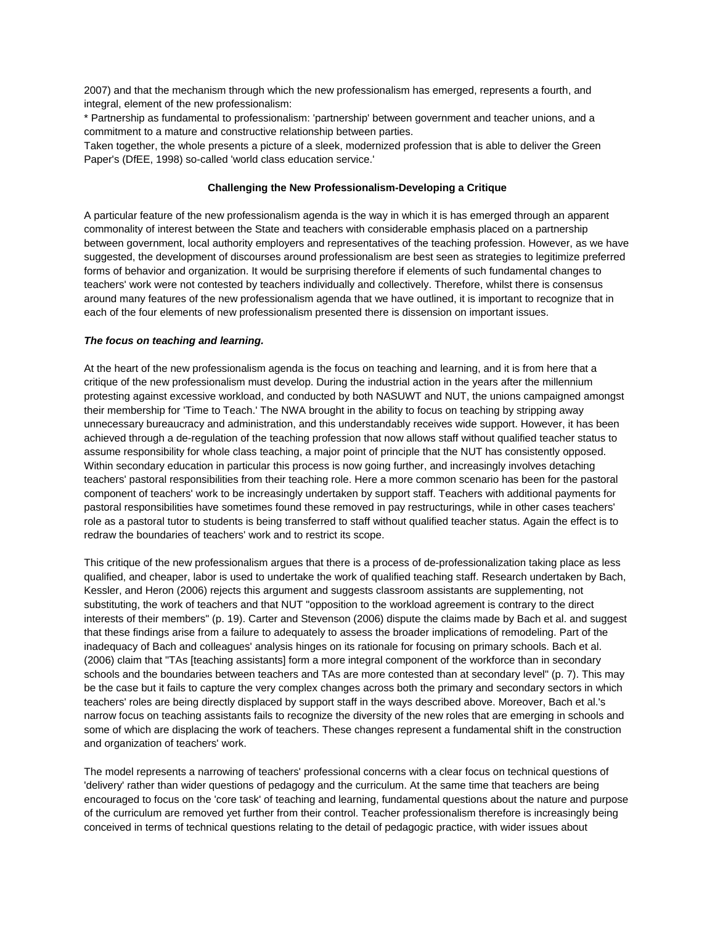2007) and that the mechanism through which the new professionalism has emerged, represents a fourth, and integral, element of the new professionalism:

\* Partnership as fundamental to professionalism: 'partnership' between government and teacher unions, and a commitment to a mature and constructive relationship between parties.

Taken together, the whole presents a picture of a sleek, modernized profession that is able to deliver the Green Paper's (DfEE, 1998) so-called 'world class education service.'

#### **Challenging the New Professionalism-Developing a Critique**

A particular feature of the new professionalism agenda is the way in which it is has emerged through an apparent commonality of interest between the State and teachers with considerable emphasis placed on a partnership between government, local authority employers and representatives of the teaching profession. However, as we have suggested, the development of discourses around professionalism are best seen as strategies to legitimize preferred forms of behavior and organization. It would be surprising therefore if elements of such fundamental changes to teachers' work were not contested by teachers individually and collectively. Therefore, whilst there is consensus around many features of the new professionalism agenda that we have outlined, it is important to recognize that in each of the four elements of new professionalism presented there is dissension on important issues.

#### *The focus on teaching and learning.*

At the heart of the new professionalism agenda is the focus on teaching and learning, and it is from here that a critique of the new professionalism must develop. During the industrial action in the years after the millennium protesting against excessive workload, and conducted by both NASUWT and NUT, the unions campaigned amongst their membership for 'Time to Teach.' The NWA brought in the ability to focus on teaching by stripping away unnecessary bureaucracy and administration, and this understandably receives wide support. However, it has been achieved through a de-regulation of the teaching profession that now allows staff without qualified teacher status to assume responsibility for whole class teaching, a major point of principle that the NUT has consistently opposed. Within secondary education in particular this process is now going further, and increasingly involves detaching teachers' pastoral responsibilities from their teaching role. Here a more common scenario has been for the pastoral component of teachers' work to be increasingly undertaken by support staff. Teachers with additional payments for pastoral responsibilities have sometimes found these removed in pay restructurings, while in other cases teachers' role as a pastoral tutor to students is being transferred to staff without qualified teacher status. Again the effect is to redraw the boundaries of teachers' work and to restrict its scope.

This critique of the new professionalism argues that there is a process of de-professionalization taking place as less qualified, and cheaper, labor is used to undertake the work of qualified teaching staff. Research undertaken by Bach, Kessler, and Heron (2006) rejects this argument and suggests classroom assistants are supplementing, not substituting, the work of teachers and that NUT "opposition to the workload agreement is contrary to the direct interests of their members" (p. 19). Carter and Stevenson (2006) dispute the claims made by Bach et al. and suggest that these findings arise from a failure to adequately to assess the broader implications of remodeling. Part of the inadequacy of Bach and colleagues' analysis hinges on its rationale for focusing on primary schools. Bach et al. (2006) claim that "TAs [teaching assistants] form a more integral component of the workforce than in secondary schools and the boundaries between teachers and TAs are more contested than at secondary level" (p. 7). This may be the case but it fails to capture the very complex changes across both the primary and secondary sectors in which teachers' roles are being directly displaced by support staff in the ways described above. Moreover, Bach et al.'s narrow focus on teaching assistants fails to recognize the diversity of the new roles that are emerging in schools and some of which are displacing the work of teachers. These changes represent a fundamental shift in the construction and organization of teachers' work.

The model represents a narrowing of teachers' professional concerns with a clear focus on technical questions of 'delivery' rather than wider questions of pedagogy and the curriculum. At the same time that teachers are being encouraged to focus on the 'core task' of teaching and learning, fundamental questions about the nature and purpose of the curriculum are removed yet further from their control. Teacher professionalism therefore is increasingly being conceived in terms of technical questions relating to the detail of pedagogic practice, with wider issues about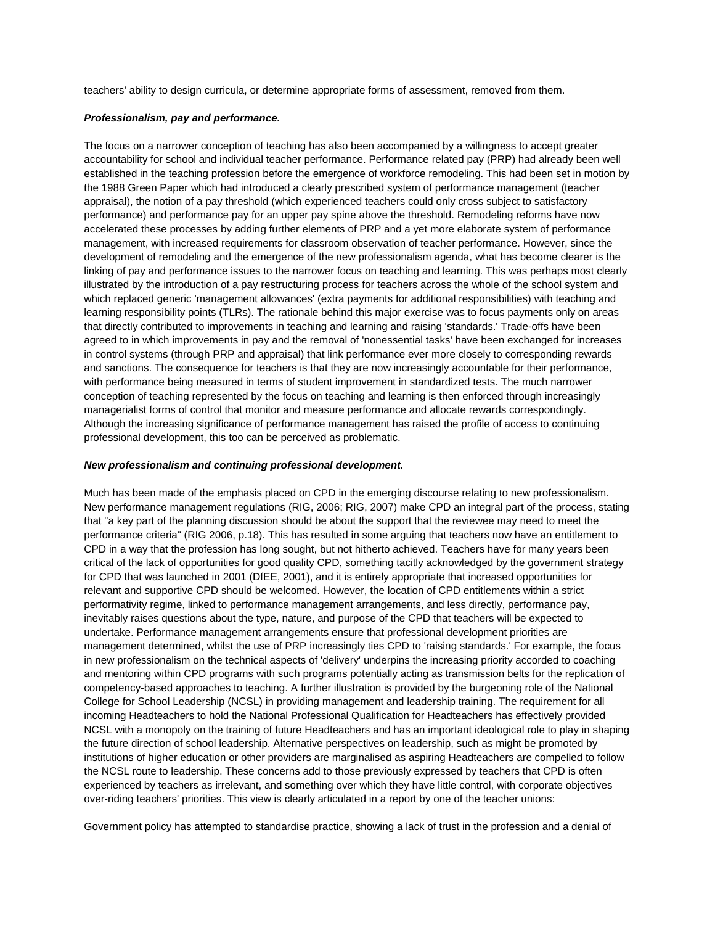teachers' ability to design curricula, or determine appropriate forms of assessment, removed from them.

#### *Professionalism, pay and performance.*

The focus on a narrower conception of teaching has also been accompanied by a willingness to accept greater accountability for school and individual teacher performance. Performance related pay (PRP) had already been well established in the teaching profession before the emergence of workforce remodeling. This had been set in motion by the 1988 Green Paper which had introduced a clearly prescribed system of performance management (teacher appraisal), the notion of a pay threshold (which experienced teachers could only cross subject to satisfactory performance) and performance pay for an upper pay spine above the threshold. Remodeling reforms have now accelerated these processes by adding further elements of PRP and a yet more elaborate system of performance management, with increased requirements for classroom observation of teacher performance. However, since the development of remodeling and the emergence of the new professionalism agenda, what has become clearer is the linking of pay and performance issues to the narrower focus on teaching and learning. This was perhaps most clearly illustrated by the introduction of a pay restructuring process for teachers across the whole of the school system and which replaced generic 'management allowances' (extra payments for additional responsibilities) with teaching and learning responsibility points (TLRs). The rationale behind this major exercise was to focus payments only on areas that directly contributed to improvements in teaching and learning and raising 'standards.' Trade-offs have been agreed to in which improvements in pay and the removal of 'nonessential tasks' have been exchanged for increases in control systems (through PRP and appraisal) that link performance ever more closely to corresponding rewards and sanctions. The consequence for teachers is that they are now increasingly accountable for their performance, with performance being measured in terms of student improvement in standardized tests. The much narrower conception of teaching represented by the focus on teaching and learning is then enforced through increasingly managerialist forms of control that monitor and measure performance and allocate rewards correspondingly. Although the increasing significance of performance management has raised the profile of access to continuing professional development, this too can be perceived as problematic.

#### *New professionalism and continuing professional development.*

Much has been made of the emphasis placed on CPD in the emerging discourse relating to new professionalism. New performance management regulations (RIG, 2006; RIG, 2007) make CPD an integral part of the process, stating that "a key part of the planning discussion should be about the support that the reviewee may need to meet the performance criteria" (RIG 2006, p.18). This has resulted in some arguing that teachers now have an entitlement to CPD in a way that the profession has long sought, but not hitherto achieved. Teachers have for many years been critical of the lack of opportunities for good quality CPD, something tacitly acknowledged by the government strategy for CPD that was launched in 2001 (DfEE, 2001), and it is entirely appropriate that increased opportunities for relevant and supportive CPD should be welcomed. However, the location of CPD entitlements within a strict performativity regime, linked to performance management arrangements, and less directly, performance pay, inevitably raises questions about the type, nature, and purpose of the CPD that teachers will be expected to undertake. Performance management arrangements ensure that professional development priorities are management determined, whilst the use of PRP increasingly ties CPD to 'raising standards.' For example, the focus in new professionalism on the technical aspects of 'delivery' underpins the increasing priority accorded to coaching and mentoring within CPD programs with such programs potentially acting as transmission belts for the replication of competency-based approaches to teaching. A further illustration is provided by the burgeoning role of the National College for School Leadership (NCSL) in providing management and leadership training. The requirement for all incoming Headteachers to hold the National Professional Qualification for Headteachers has effectively provided NCSL with a monopoly on the training of future Headteachers and has an important ideological role to play in shaping the future direction of school leadership. Alternative perspectives on leadership, such as might be promoted by institutions of higher education or other providers are marginalised as aspiring Headteachers are compelled to follow the NCSL route to leadership. These concerns add to those previously expressed by teachers that CPD is often experienced by teachers as irrelevant, and something over which they have little control, with corporate objectives over-riding teachers' priorities. This view is clearly articulated in a report by one of the teacher unions:

Government policy has attempted to standardise practice, showing a lack of trust in the profession and a denial of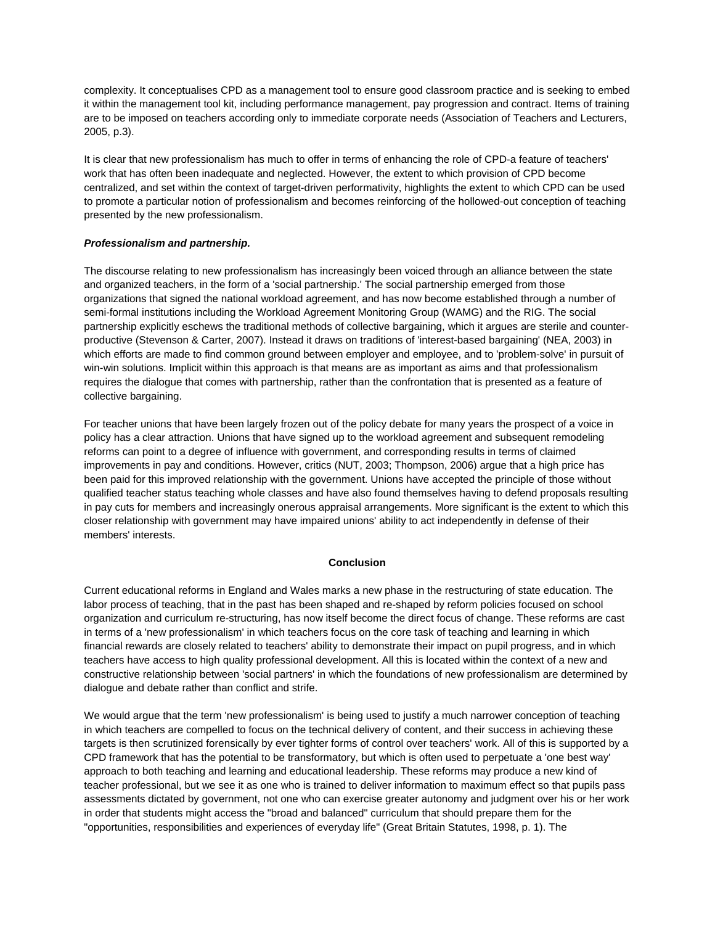complexity. It conceptualises CPD as a management tool to ensure good classroom practice and is seeking to embed it within the management tool kit, including performance management, pay progression and contract. Items of training are to be imposed on teachers according only to immediate corporate needs (Association of Teachers and Lecturers, 2005, p.3).

It is clear that new professionalism has much to offer in terms of enhancing the role of CPD-a feature of teachers' work that has often been inadequate and neglected. However, the extent to which provision of CPD become centralized, and set within the context of target-driven performativity, highlights the extent to which CPD can be used to promote a particular notion of professionalism and becomes reinforcing of the hollowed-out conception of teaching presented by the new professionalism.

# *Professionalism and partnership.*

The discourse relating to new professionalism has increasingly been voiced through an alliance between the state and organized teachers, in the form of a 'social partnership.' The social partnership emerged from those organizations that signed the national workload agreement, and has now become established through a number of semi-formal institutions including the Workload Agreement Monitoring Group (WAMG) and the RIG. The social partnership explicitly eschews the traditional methods of collective bargaining, which it argues are sterile and counterproductive (Stevenson & Carter, 2007). Instead it draws on traditions of 'interest-based bargaining' (NEA, 2003) in which efforts are made to find common ground between employer and employee, and to 'problem-solve' in pursuit of win-win solutions. Implicit within this approach is that means are as important as aims and that professionalism requires the dialogue that comes with partnership, rather than the confrontation that is presented as a feature of collective bargaining.

For teacher unions that have been largely frozen out of the policy debate for many years the prospect of a voice in policy has a clear attraction. Unions that have signed up to the workload agreement and subsequent remodeling reforms can point to a degree of influence with government, and corresponding results in terms of claimed improvements in pay and conditions. However, critics (NUT, 2003; Thompson, 2006) argue that a high price has been paid for this improved relationship with the government. Unions have accepted the principle of those without qualified teacher status teaching whole classes and have also found themselves having to defend proposals resulting in pay cuts for members and increasingly onerous appraisal arrangements. More significant is the extent to which this closer relationship with government may have impaired unions' ability to act independently in defense of their members' interests.

## **Conclusion**

Current educational reforms in England and Wales marks a new phase in the restructuring of state education. The labor process of teaching, that in the past has been shaped and re-shaped by reform policies focused on school organization and curriculum re-structuring, has now itself become the direct focus of change. These reforms are cast in terms of a 'new professionalism' in which teachers focus on the core task of teaching and learning in which financial rewards are closely related to teachers' ability to demonstrate their impact on pupil progress, and in which teachers have access to high quality professional development. All this is located within the context of a new and constructive relationship between 'social partners' in which the foundations of new professionalism are determined by dialogue and debate rather than conflict and strife.

We would argue that the term 'new professionalism' is being used to justify a much narrower conception of teaching in which teachers are compelled to focus on the technical delivery of content, and their success in achieving these targets is then scrutinized forensically by ever tighter forms of control over teachers' work. All of this is supported by a CPD framework that has the potential to be transformatory, but which is often used to perpetuate a 'one best way' approach to both teaching and learning and educational leadership. These reforms may produce a new kind of teacher professional, but we see it as one who is trained to deliver information to maximum effect so that pupils pass assessments dictated by government, not one who can exercise greater autonomy and judgment over his or her work in order that students might access the "broad and balanced" curriculum that should prepare them for the "opportunities, responsibilities and experiences of everyday life" (Great Britain Statutes, 1998, p. 1). The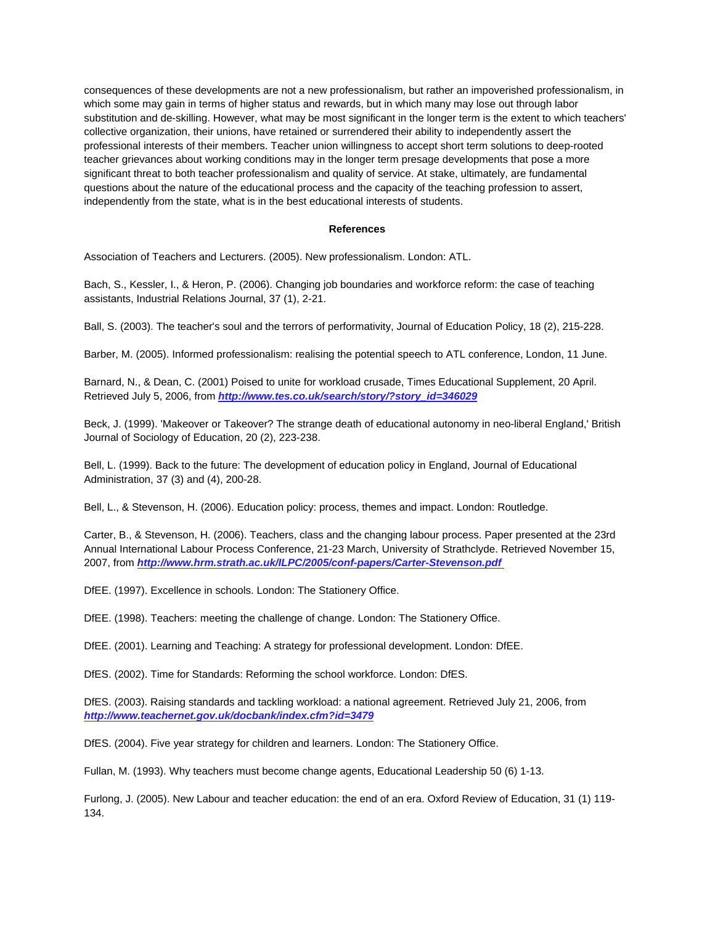consequences of these developments are not a new professionalism, but rather an impoverished professionalism, in which some may gain in terms of higher status and rewards, but in which many may lose out through labor substitution and de-skilling. However, what may be most significant in the longer term is the extent to which teachers' collective organization, their unions, have retained or surrendered their ability to independently assert the professional interests of their members. Teacher union willingness to accept short term solutions to deep-rooted teacher grievances about working conditions may in the longer term presage developments that pose a more significant threat to both teacher professionalism and quality of service. At stake, ultimately, are fundamental questions about the nature of the educational process and the capacity of the teaching profession to assert, independently from the state, what is in the best educational interests of students.

#### **References**

Association of Teachers and Lecturers. (2005). New professionalism. London: ATL.

Bach, S., Kessler, I., & Heron, P. (2006). Changing job boundaries and workforce reform: the case of teaching assistants, Industrial Relations Journal, 37 (1), 2-21.

Ball, S. (2003). The teacher's soul and the terrors of performativity, Journal of Education Policy, 18 (2), 215-228.

Barber, M. (2005). Informed professionalism: realising the potential speech to ATL conference, London, 11 June.

Barnard, N., & Dean, C. (2001) Poised to unite for workload crusade, Times Educational Supplement, 20 April. Retrieved July 5, 2006, from *[http://www.tes.co.uk/search/story/?story\\_id=346029](http://www.tes.co.uk/search/story/?story_id=346029)* 

Beck, J. (1999). 'Makeover or Takeover? The strange death of educational autonomy in neo-liberal England,' British Journal of Sociology of Education, 20 (2), 223-238.

Bell, L. (1999). Back to the future: The development of education policy in England, Journal of Educational Administration, 37 (3) and (4), 200-28.

Bell, L., & Stevenson, H. (2006). Education policy: process, themes and impact. London: Routledge.

Carter, B., & Stevenson, H. (2006). Teachers, class and the changing labour process. Paper presented at the 23rd Annual International Labour Process Conference, 21-23 March, University of Strathclyde. Retrieved November 15, 2007, from *[http://www.hrm.strath.ac.uk/ILPC/2005/conf-papers/Carter-Stevenson.pdf](http://www.tes.co.uk/search/story/?story_id=346029)* 

DfEE. (1997). Excellence in schools. London: The Stationery Office.

DfEE. (1998). Teachers: meeting the challenge of change. London: The Stationery Office.

DfEE. (2001). Learning and Teaching: A strategy for professional development. London: DfEE.

DfES. (2002). Time for Standards: Reforming the school workforce. London: DfES.

DfES. (2003). Raising standards and tackling workload: a national agreement. Retrieved July 21, 2006, from *[http://www.teachernet.gov.uk/docbank/index.cfm?id=3479](http://www.tes.co.uk/search/story/?story_id=346029)*

DfES. (2004). Five year strategy for children and learners. London: The Stationery Office.

Fullan, M. (1993). Why teachers must become change agents, Educational Leadership 50 (6) 1-13.

Furlong, J. (2005). New Labour and teacher education: the end of an era. Oxford Review of Education, 31 (1) 119- 134.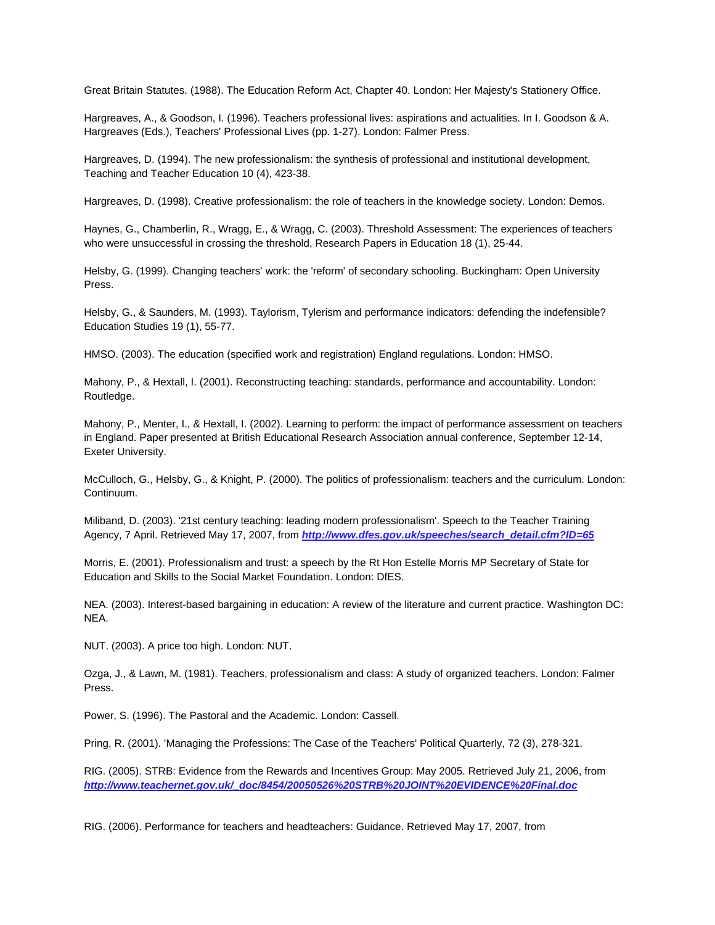Great Britain Statutes. (1988). The Education Reform Act, Chapter 40. London: Her Majesty's Stationery Office.

Hargreaves, A., & Goodson, I. (1996). Teachers professional lives: aspirations and actualities. In I. Goodson & A. Hargreaves (Eds.), Teachers' Professional Lives (pp. 1-27). London: Falmer Press.

Hargreaves, D. (1994). The new professionalism: the synthesis of professional and institutional development, Teaching and Teacher Education 10 (4), 423-38.

Hargreaves, D. (1998). Creative professionalism: the role of teachers in the knowledge society. London: Demos.

Haynes, G., Chamberlin, R., Wragg, E., & Wragg, C. (2003). Threshold Assessment: The experiences of teachers who were unsuccessful in crossing the threshold, Research Papers in Education 18 (1), 25-44.

Helsby, G. (1999). Changing teachers' work: the 'reform' of secondary schooling. Buckingham: Open University Press.

Helsby, G., & Saunders, M. (1993). Taylorism, Tylerism and performance indicators: defending the indefensible? Education Studies 19 (1), 55-77.

HMSO. (2003). The education (specified work and registration) England regulations. London: HMSO.

Mahony, P., & Hextall, I. (2001). Reconstructing teaching: standards, performance and accountability. London: Routledge.

Mahony, P., Menter, I., & Hextall, I. (2002). Learning to perform: the impact of performance assessment on teachers in England. Paper presented at British Educational Research Association annual conference, September 12-14, Exeter University.

McCulloch, G., Helsby, G., & Knight, P. (2000). The politics of professionalism: teachers and the curriculum. London: Continuum.

Miliband, D. (2003). '21st century teaching: leading modern professionalism'. Speech to the Teacher Training Agency, 7 April. Retrieved May 17, 2007, from *[http://www.dfes.gov.uk/speeches/search\\_detail.cfm?ID=65](http://www.tes.co.uk/search/story/?story_id=346029)*

Morris, E. (2001). Professionalism and trust: a speech by the Rt Hon Estelle Morris MP Secretary of State for Education and Skills to the Social Market Foundation. London: DfES.

NEA. (2003). Interest-based bargaining in education: A review of the literature and current practice. Washington DC: NEA.

NUT. (2003). A price too high. London: NUT.

Ozga, J., & Lawn, M. (1981). Teachers, professionalism and class: A study of organized teachers. London: Falmer Press.

Power, S. (1996). The Pastoral and the Academic. London: Cassell.

Pring, R. (2001). 'Managing the Professions: The Case of the Teachers' Political Quarterly, 72 (3), 278-321.

RIG. (2005). STRB: Evidence from the Rewards and Incentives Group: May 2005. Retrieved July 21, 2006, from *[http://www.teachernet.gov.uk/\\_doc/8454/20050526%20STRB%20JOINT%20EVIDENCE%20Final.doc](http://www.teachernet.gov.uk/_doc/8454/20050526%20STRB%20JOINT%20EVIDENCE%20Final.doc)* 

RIG. (2006). Performance for teachers and headteachers: Guidance. Retrieved May 17, 2007, from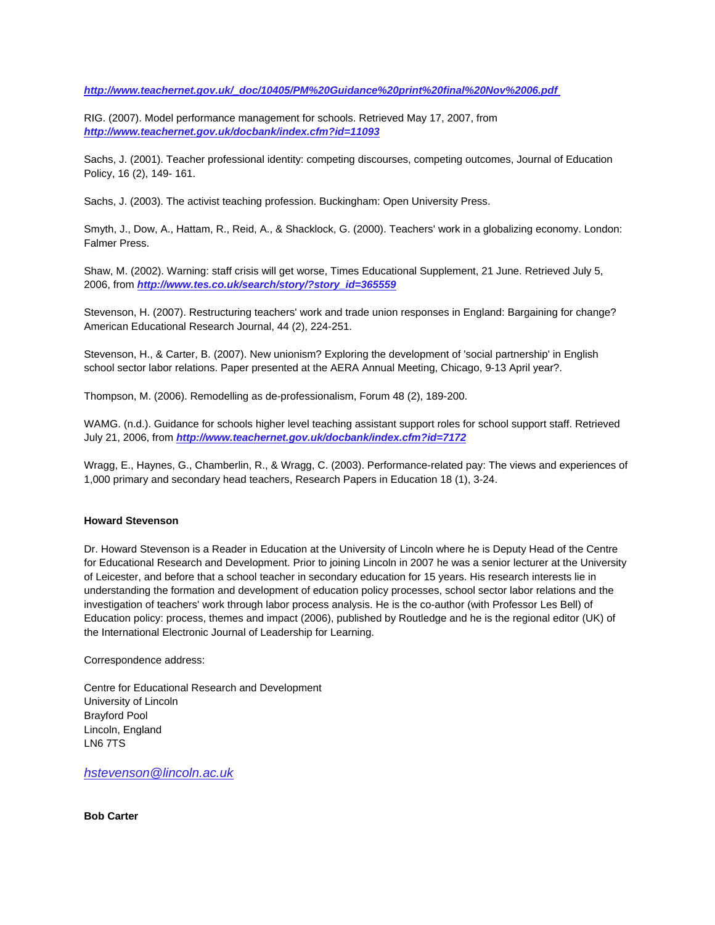*[http://www.teachernet.gov.uk/\\_doc/10405/PM%20Guidance%20print%20final%20Nov%2006.pdf](http://www.teachernet.gov.uk/_doc/10405/PM%20Guidance%20print%20final%20Nov%2006.pdf)* 

RIG. (2007). Model performance management for schools. Retrieved May 17, 2007, from *<http://www.teachernet.gov.uk/docbank/index.cfm?id=11093>*

Sachs, J. (2001). Teacher professional identity: competing discourses, competing outcomes, Journal of Education Policy, 16 (2), 149- 161.

Sachs, J. (2003). The activist teaching profession. Buckingham: Open University Press.

Smyth, J., Dow, A., Hattam, R., Reid, A., & Shacklock, G. (2000). Teachers' work in a globalizing economy. London: Falmer Press.

Shaw, M. (2002). Warning: staff crisis will get worse, Times Educational Supplement, 21 June. Retrieved July 5, 2006, from *[http://www.tes.co.uk/search/story/?story\\_id=365559](http://www.teachernet.gov.uk/docbank/index.cfm?id=11093)*

Stevenson, H. (2007). Restructuring teachers' work and trade union responses in England: Bargaining for change? American Educational Research Journal, 44 (2), 224-251.

Stevenson, H., & Carter, B. (2007). New unionism? Exploring the development of 'social partnership' in English school sector labor relations. Paper presented at the AERA Annual Meeting, Chicago, 9-13 April year?.

Thompson, M. (2006). Remodelling as de-professionalism, Forum 48 (2), 189-200.

WAMG. (n.d.). Guidance for schools higher level teaching assistant support roles for school support staff. Retrieved July 21, 2006, from *<http://www.teachernet.gov.uk/docbank/index.cfm?id=7172>*

Wragg, E., Haynes, G., Chamberlin, R., & Wragg, C. (2003). Performance-related pay: The views and experiences of 1,000 primary and secondary head teachers, Research Papers in Education 18 (1), 3-24.

## **Howard Stevenson**

Dr. Howard Stevenson is a Reader in Education at the University of Lincoln where he is Deputy Head of the Centre for Educational Research and Development. Prior to joining Lincoln in 2007 he was a senior lecturer at the University of Leicester, and before that a school teacher in secondary education for 15 years. His research interests lie in understanding the formation and development of education policy processes, school sector labor relations and the investigation of teachers' work through labor process analysis. He is the co-author (with Professor Les Bell) of Education policy: process, themes and impact (2006), published by Routledge and he is the regional editor (UK) of the International Electronic Journal of Leadership for Learning.

Correspondence address:

Centre for Educational Research and Development University of Lincoln Brayford Pool Lincoln, England LN6 7TS

*[hstevenson@lincoln.ac.uk](mailto:hstevenson@lincoln.ac.uk)*

**Bob Carter**